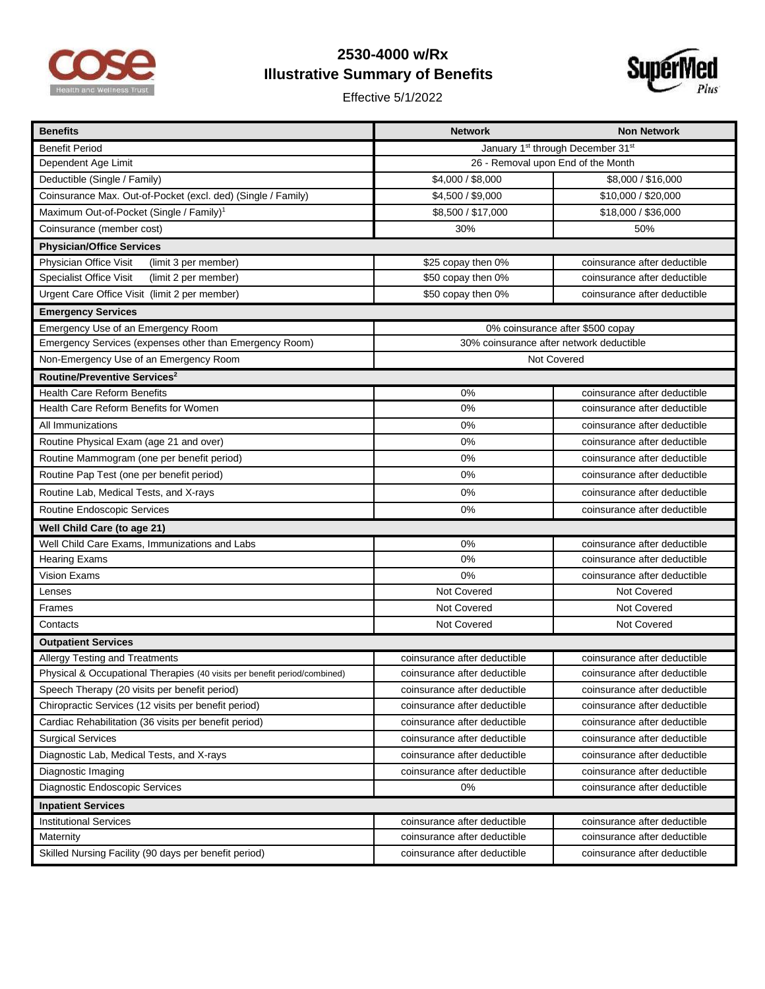

## **2530-4000 w/Rx Illustrative Summary of Benefits**

Effective 5/1/2022



| <b>Benefits</b>                                                           | <b>Network</b>                                            | <b>Non Network</b>           |  |
|---------------------------------------------------------------------------|-----------------------------------------------------------|------------------------------|--|
| <b>Benefit Period</b>                                                     | January 1 <sup>st</sup> through December 31 <sup>st</sup> |                              |  |
| Dependent Age Limit                                                       | 26 - Removal upon End of the Month                        |                              |  |
| Deductible (Single / Family)                                              | \$4,000 / \$8,000                                         | \$8,000 / \$16,000           |  |
| Coinsurance Max. Out-of-Pocket (excl. ded) (Single / Family)              | \$4,500 / \$9,000                                         | \$10,000 / \$20,000          |  |
| Maximum Out-of-Pocket (Single / Family) <sup>1</sup>                      | \$8,500 / \$17,000                                        | \$18,000 / \$36,000          |  |
| Coinsurance (member cost)                                                 | 30%                                                       | 50%                          |  |
| <b>Physician/Office Services</b>                                          |                                                           |                              |  |
| Physician Office Visit<br>(limit 3 per member)                            | \$25 copay then 0%                                        | coinsurance after deductible |  |
| <b>Specialist Office Visit</b><br>(limit 2 per member)                    | \$50 copay then 0%                                        | coinsurance after deductible |  |
| Urgent Care Office Visit (limit 2 per member)                             | \$50 copay then 0%                                        | coinsurance after deductible |  |
| <b>Emergency Services</b>                                                 |                                                           |                              |  |
| Emergency Use of an Emergency Room                                        | 0% coinsurance after \$500 copay                          |                              |  |
| Emergency Services (expenses other than Emergency Room)                   | 30% coinsurance after network deductible                  |                              |  |
| Non-Emergency Use of an Emergency Room                                    | Not Covered                                               |                              |  |
| Routine/Preventive Services <sup>2</sup>                                  |                                                           |                              |  |
| <b>Health Care Reform Benefits</b>                                        | 0%                                                        | coinsurance after deductible |  |
| Health Care Reform Benefits for Women                                     | 0%                                                        | coinsurance after deductible |  |
| All Immunizations                                                         | 0%                                                        | coinsurance after deductible |  |
| Routine Physical Exam (age 21 and over)                                   | 0%                                                        | coinsurance after deductible |  |
| Routine Mammogram (one per benefit period)                                | 0%                                                        | coinsurance after deductible |  |
| Routine Pap Test (one per benefit period)                                 | 0%                                                        | coinsurance after deductible |  |
| Routine Lab, Medical Tests, and X-rays                                    | 0%                                                        | coinsurance after deductible |  |
| Routine Endoscopic Services                                               | 0%                                                        | coinsurance after deductible |  |
| Well Child Care (to age 21)                                               |                                                           |                              |  |
| Well Child Care Exams, Immunizations and Labs                             | 0%                                                        | coinsurance after deductible |  |
| <b>Hearing Exams</b>                                                      | 0%                                                        | coinsurance after deductible |  |
| Vision Exams                                                              | 0%                                                        | coinsurance after deductible |  |
| Lenses                                                                    | Not Covered                                               | Not Covered                  |  |
| Frames                                                                    | Not Covered                                               | Not Covered                  |  |
| Contacts                                                                  | Not Covered                                               | Not Covered                  |  |
| <b>Outpatient Services</b>                                                |                                                           |                              |  |
| Allergy Testing and Treatments                                            | coinsurance after deductible                              | coinsurance after deductible |  |
| Physical & Occupational Therapies (40 visits per benefit period/combined) | coinsurance after deductible                              | coinsurance after deductible |  |
| Speech Therapy (20 visits per benefit period)                             | coinsurance after deductible                              | coinsurance after deductible |  |
| Chiropractic Services (12 visits per benefit period)                      | coinsurance after deductible                              | coinsurance after deductible |  |
| Cardiac Rehabilitation (36 visits per benefit period)                     | coinsurance after deductible                              | coinsurance after deductible |  |
| <b>Surgical Services</b>                                                  | coinsurance after deductible                              | coinsurance after deductible |  |
| Diagnostic Lab, Medical Tests, and X-rays                                 | coinsurance after deductible                              | coinsurance after deductible |  |
| Diagnostic Imaging                                                        | coinsurance after deductible                              | coinsurance after deductible |  |
| Diagnostic Endoscopic Services                                            | 0%                                                        | coinsurance after deductible |  |
| <b>Inpatient Services</b>                                                 |                                                           |                              |  |
| <b>Institutional Services</b>                                             | coinsurance after deductible                              | coinsurance after deductible |  |
| Maternity                                                                 | coinsurance after deductible                              | coinsurance after deductible |  |
| Skilled Nursing Facility (90 days per benefit period)                     | coinsurance after deductible                              | coinsurance after deductible |  |